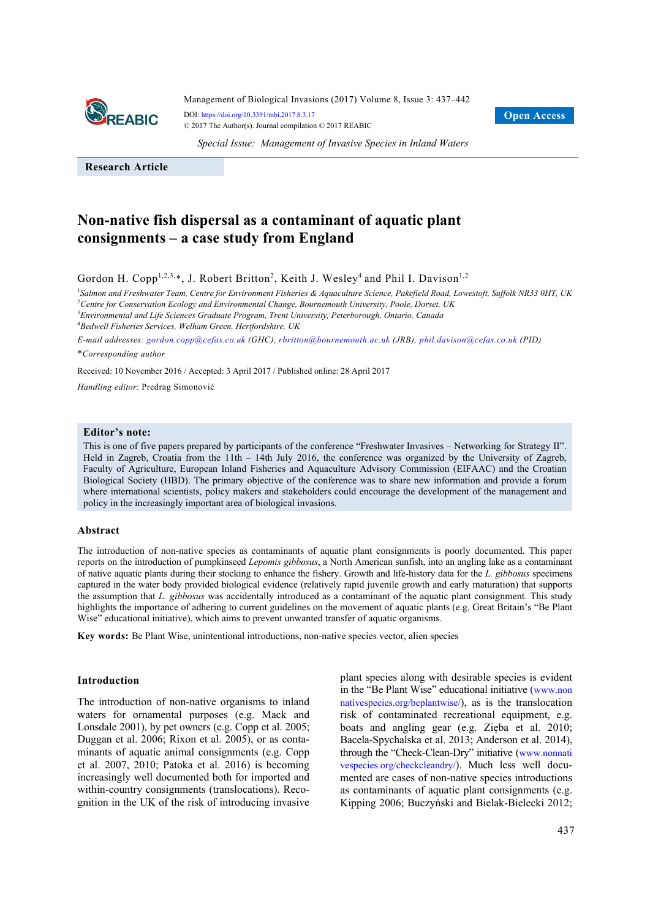

*Special Issue: Management of Invasive Species in Inland Waters*

**Research Article**

# **Non-native fish dispersal as a contaminant of aquatic plant consignments – a case study from England**

Gordon H. Copp<sup>1,2,3,\*</sup>, J. Robert Britton<sup>2</sup>, Keith J. Wesley<sup>4</sup> and Phil I. Davison<sup>1,2</sup>

<sup>1</sup>Salmon and Freshwater Team, Centre for Environment Fisheries & Aquaculture Science, Pakefield Road, Lowestoft, Suffolk NR33 0HT, UK 2 *Centre for Conservation Ecology and Environmental Change, Bournemouth University, Poole, Dorset, UK* 

3 *Environmental and Life Sciences Graduate Program, Trent University, Peterborough, Ontario, Canada*  4 *Bedwell Fisheries Services, Welham Green, Hertfordshire, UK* 

*E-mail addresses: gordon.copp@cefas.co.uk (GHC), rbritton@bournemouth.ac.uk (JRB), phil.davison@cefas.co.uk (PID)*  \**Corresponding author*

Received: 10 November 2016 / Accepted: 3 April 2017 / Published online: 28 April 2017

*Handling editor*: Predrag Simonović

### **Editor's note:**

This is one of five papers prepared by participants of the conference "Freshwater Invasives – Networking for Strategy II". Held in Zagreb, Croatia from the 11th – 14th July 2016, the conference was organized by the University of Zagreb, Faculty of Agriculture, European Inland Fisheries and Aquaculture Advisory Commission (EIFAAC) and the Croatian Biological Society (HBD). The primary objective of the conference was to share new information and provide a forum where international scientists, policy makers and stakeholders could encourage the development of the management and policy in the increasingly important area of biological invasions.

## **Abstract**

The introduction of non-native species as contaminants of aquatic plant consignments is poorly documented. This paper reports on the introduction of pumpkinseed *Lepomis gibbosus*, a North American sunfish, into an angling lake as a contaminant of native aquatic plants during their stocking to enhance the fishery. Growth and life-history data for the *L. gibbosus* specimens captured in the water body provided biological evidence (relatively rapid juvenile growth and early maturation) that supports the assumption that *L. gibbosus* was accidentally introduced as a contaminant of the aquatic plant consignment. This study highlights the importance of adhering to current guidelines on the movement of aquatic plants (e.g. Great Britain's "Be Plant Wise" educational initiative), which aims to prevent unwanted transfer of aquatic organisms.

**Key words:** Be Plant Wise, unintentional introductions, non-native species vector, alien species

## **Introduction**

The introduction of non-native organisms to inland waters for ornamental purposes (e.g. Mack and Lonsdale 2001), by pet owners (e.g. Copp et al. 2005; Duggan et al. 2006; Rixon et al. 2005), or as contaminants of aquatic animal consignments (e.g. Copp et al. 2007, 2010; Patoka et al. 2016) is becoming increasingly well documented both for imported and within-country consignments (translocations). Recognition in the UK of the risk of introducing invasive plant species along with desirable species is evident in the "Be Plant Wise" educational initiative (www.non nativespecies.org/beplantwise/), as is the translocation risk of contaminated recreational equipment, e.g. boats and angling gear (e.g. Zięba et al. 2010; Bacela-Spychalska et al. 2013; Anderson et al. 2014), through the "Check-Clean-Dry" initiative (www.nonnati vespecies.org/checkcleandry/). Much less well documented are cases of non-native species introductions as contaminants of aquatic plant consignments (e.g. Kipping 2006; Buczyński and Bielak-Bielecki 2012;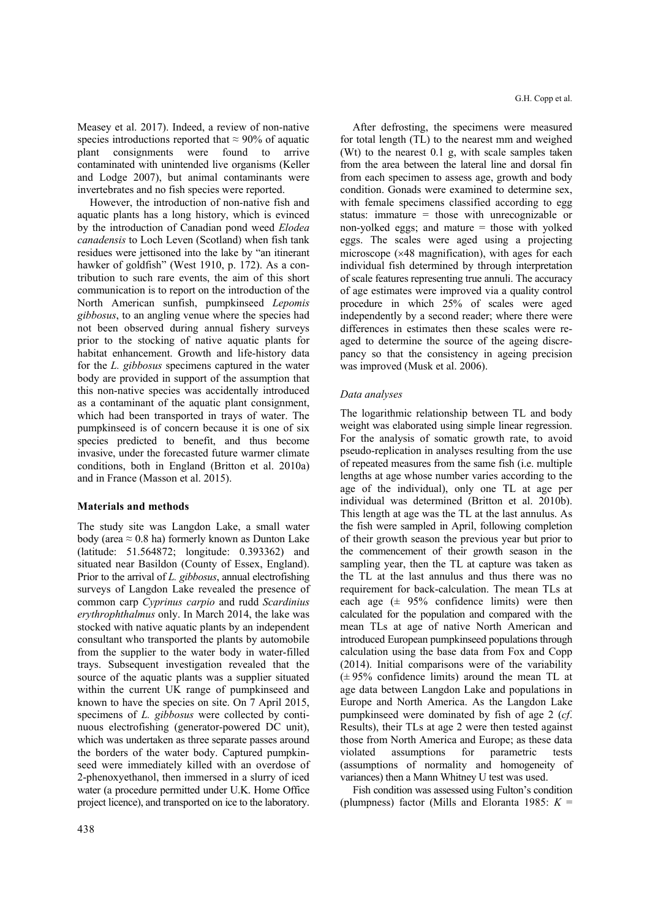Measey et al. 2017). Indeed, a review of non-native species introductions reported that  $\approx 90\%$  of aquatic plant consignments were found to arrive contaminated with unintended live organisms (Keller and Lodge 2007), but animal contaminants were invertebrates and no fish species were reported.

However, the introduction of non-native fish and aquatic plants has a long history, which is evinced by the introduction of Canadian pond weed *Elodea canadensis* to Loch Leven (Scotland) when fish tank residues were jettisoned into the lake by "an itinerant hawker of goldfish" (West 1910, p. 172). As a contribution to such rare events, the aim of this short communication is to report on the introduction of the North American sunfish, pumpkinseed *Lepomis gibbosus*, to an angling venue where the species had not been observed during annual fishery surveys prior to the stocking of native aquatic plants for habitat enhancement. Growth and life-history data for the *L. gibbosus* specimens captured in the water body are provided in support of the assumption that this non-native species was accidentally introduced as a contaminant of the aquatic plant consignment, which had been transported in trays of water. The pumpkinseed is of concern because it is one of six species predicted to benefit, and thus become invasive, under the forecasted future warmer climate conditions, both in England (Britton et al. 2010a) and in France (Masson et al. 2015).

## **Materials and methods**

The study site was Langdon Lake, a small water body (area  $\approx 0.8$  ha) formerly known as Dunton Lake (latitude: 51.564872; longitude: 0.393362) and situated near Basildon (County of Essex, England). Prior to the arrival of *L. gibbosus*, annual electrofishing surveys of Langdon Lake revealed the presence of common carp *Cyprinus carpio* and rudd *Scardinius erythrophthalmus* only. In March 2014, the lake was stocked with native aquatic plants by an independent consultant who transported the plants by automobile from the supplier to the water body in water-filled trays. Subsequent investigation revealed that the source of the aquatic plants was a supplier situated within the current UK range of pumpkinseed and known to have the species on site. On 7 April 2015, specimens of *L. gibbosus* were collected by continuous electrofishing (generator-powered DC unit), which was undertaken as three separate passes around the borders of the water body. Captured pumpkinseed were immediately killed with an overdose of 2-phenoxyethanol, then immersed in a slurry of iced water (a procedure permitted under U.K. Home Office project licence), and transported on ice to the laboratory.

After defrosting, the specimens were measured for total length (TL) to the nearest mm and weighed (Wt) to the nearest 0.1 g, with scale samples taken from the area between the lateral line and dorsal fin from each specimen to assess age, growth and body condition. Gonads were examined to determine sex, with female specimens classified according to egg status: immature = those with unrecognizable or non-yolked eggs; and mature  $=$  those with yolked eggs. The scales were aged using a projecting microscope  $(x48$  magnification), with ages for each individual fish determined by through interpretation of scale features representing true annuli. The accuracy of age estimates were improved via a quality control procedure in which 25% of scales were aged independently by a second reader; where there were differences in estimates then these scales were reaged to determine the source of the ageing discrepancy so that the consistency in ageing precision was improved (Musk et al. 2006).

## *Data analyses*

The logarithmic relationship between TL and body weight was elaborated using simple linear regression. For the analysis of somatic growth rate, to avoid pseudo-replication in analyses resulting from the use of repeated measures from the same fish (i.e. multiple lengths at age whose number varies according to the age of the individual), only one TL at age per individual was determined (Britton et al. 2010b). This length at age was the TL at the last annulus. As the fish were sampled in April, following completion of their growth season the previous year but prior to the commencement of their growth season in the sampling year, then the TL at capture was taken as the TL at the last annulus and thus there was no requirement for back-calculation. The mean TLs at each age  $(\pm 95\%$  confidence limits) were then calculated for the population and compared with the mean TLs at age of native North American and introduced European pumpkinseed populations through calculation using the base data from Fox and Copp (2014). Initial comparisons were of the variability  $(\pm 95\%$  confidence limits) around the mean TL at age data between Langdon Lake and populations in Europe and North America. As the Langdon Lake pumpkinseed were dominated by fish of age 2 (*cf*. Results), their TLs at age 2 were then tested against those from North America and Europe; as these data violated assumptions for parametric tests (assumptions of normality and homogeneity of variances) then a Mann Whitney U test was used.

Fish condition was assessed using Fulton's condition (plumpness) factor (Mills and Eloranta 1985: *K* =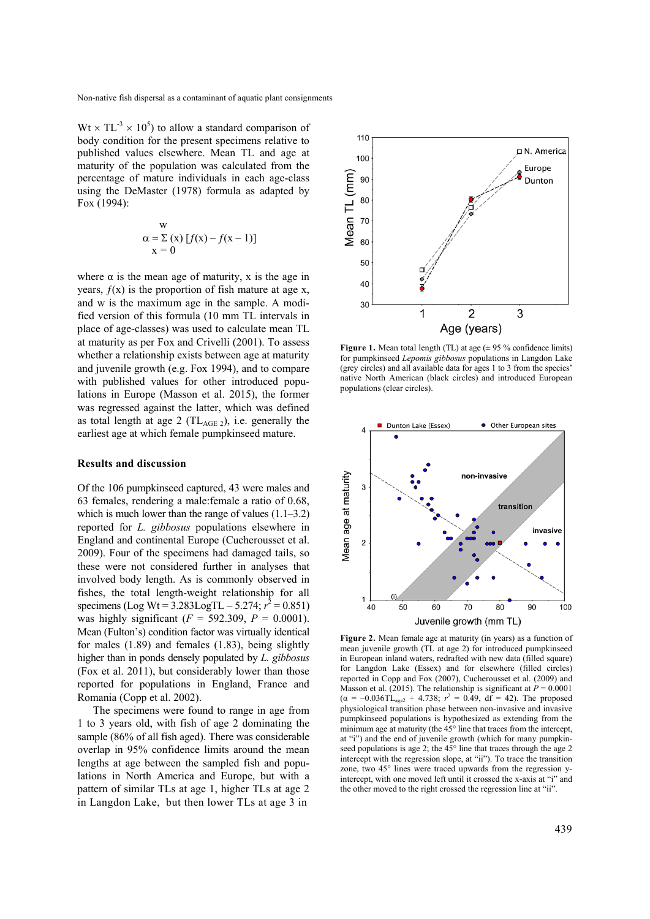$Wt \times TL^{-3} \times 10^{5}$ ) to allow a standard comparison of body condition for the present specimens relative to published values elsewhere. Mean TL and age at maturity of the population was calculated from the percentage of mature individuals in each age-class using the DeMaster (1978) formula as adapted by Fox (1994):

$$
\begin{array}{c}\n\text{w} \\
\alpha = \sum (\text{x}) [f(\text{x}) - f(\text{x} - 1)] \\
\text{x} = 0\n\end{array}
$$

where  $\alpha$  is the mean age of maturity, x is the age in years,  $f(x)$  is the proportion of fish mature at age x, and w is the maximum age in the sample. A modified version of this formula (10 mm TL intervals in place of age-classes) was used to calculate mean TL at maturity as per Fox and Crivelli (2001). To assess whether a relationship exists between age at maturity and juvenile growth (e.g. Fox 1994), and to compare with published values for other introduced populations in Europe (Masson et al. 2015), the former was regressed against the latter, which was defined as total length at age 2 ( $TL_{AGE\ 2}$ ), i.e. generally the earliest age at which female pumpkinseed mature.

#### **Results and discussion**

Of the 106 pumpkinseed captured, 43 were males and 63 females, rendering a male:female a ratio of 0.68, which is much lower than the range of values  $(1.1–3.2)$ reported for *L. gibbosus* populations elsewhere in England and continental Europe (Cucherousset et al. 2009). Four of the specimens had damaged tails, so these were not considered further in analyses that involved body length. As is commonly observed in fishes, the total length-weight relationship for all specimens (Log Wt =  $3.283$ LogTL –  $5.274$ ;  $r^2 = 0.851$ ) was highly significant  $(F = 592.309, P = 0.0001)$ . Mean (Fulton's) condition factor was virtually identical for males (1.89) and females (1.83), being slightly higher than in ponds densely populated by *L. gibbosus* (Fox et al. 2011), but considerably lower than those reported for populations in England, France and Romania (Copp et al. 2002).

The specimens were found to range in age from 1 to 3 years old, with fish of age 2 dominating the sample (86% of all fish aged). There was considerable overlap in 95% confidence limits around the mean lengths at age between the sampled fish and populations in North America and Europe, but with a pattern of similar TLs at age 1, higher TLs at age 2 in Langdon Lake, but then lower TLs at age 3 in



**Figure 1.** Mean total length (TL) at age ( $\pm$  95 % confidence limits) for pumpkinseed *Lepomis gibbosus* populations in Langdon Lake (grey circles) and all available data for ages 1 to 3 from the species' native North American (black circles) and introduced European populations (clear circles).



**Figure 2.** Mean female age at maturity (in years) as a function of mean juvenile growth (TL at age 2) for introduced pumpkinseed in European inland waters, redrafted with new data (filled square) for Langdon Lake (Essex) and for elsewhere (filled circles) reported in Copp and Fox (2007), Cucherousset et al. (2009) and Masson et al. (2015). The relationship is significant at  $P = 0.0001$  $(\alpha = -0.036$ TL<sub>age2</sub> + 4.738;  $r^2 = 0.49$ , df = 42). The proposed physiological transition phase between non-invasive and invasive pumpkinseed populations is hypothesized as extending from the minimum age at maturity (the 45° line that traces from the intercept, at "i") and the end of juvenile growth (which for many pumpkinseed populations is age 2; the 45° line that traces through the age 2 intercept with the regression slope, at "ii"). To trace the transition zone, two 45° lines were traced upwards from the regression yintercept, with one moved left until it crossed the x-axis at "i" and the other moved to the right crossed the regression line at "ii".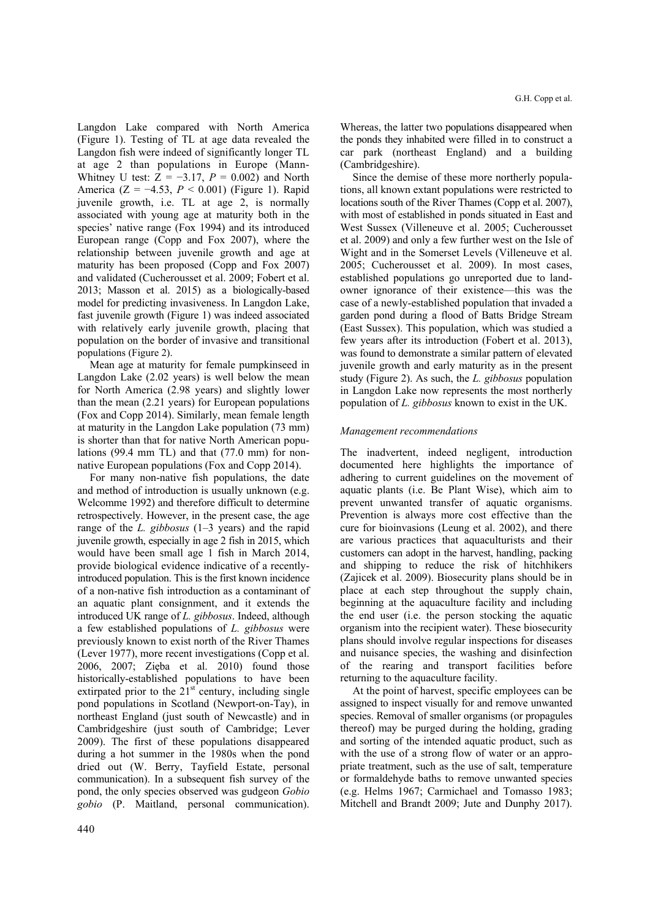Langdon Lake compared with North America (Figure 1). Testing of TL at age data revealed the Langdon fish were indeed of significantly longer TL at age 2 than populations in Europe (Mann-Whitney U test:  $Z = -3.17$ ,  $P = 0.002$ ) and North America (Z = −4.53, *P* < 0.001) (Figure 1). Rapid juvenile growth, i.e. TL at age 2, is normally associated with young age at maturity both in the species' native range (Fox 1994) and its introduced European range (Copp and Fox 2007), where the relationship between juvenile growth and age at maturity has been proposed (Copp and Fox 2007) and validated (Cucherousset et al. 2009; Fobert et al. 2013; Masson et al. 2015) as a biologically-based model for predicting invasiveness. In Langdon Lake, fast juvenile growth (Figure 1) was indeed associated with relatively early juvenile growth, placing that population on the border of invasive and transitional populations (Figure 2).

Mean age at maturity for female pumpkinseed in Langdon Lake (2.02 years) is well below the mean for North America (2.98 years) and slightly lower than the mean (2.21 years) for European populations (Fox and Copp 2014). Similarly, mean female length at maturity in the Langdon Lake population (73 mm) is shorter than that for native North American populations (99.4 mm TL) and that (77.0 mm) for nonnative European populations (Fox and Copp 2014).

For many non-native fish populations, the date and method of introduction is usually unknown (e.g. Welcomme 1992) and therefore difficult to determine retrospectively. However, in the present case, the age range of the *L. gibbosus* (1–3 years) and the rapid juvenile growth, especially in age 2 fish in 2015, which would have been small age 1 fish in March 2014, provide biological evidence indicative of a recentlyintroduced population. This is the first known incidence of a non-native fish introduction as a contaminant of an aquatic plant consignment, and it extends the introduced UK range of *L. gibbosus*. Indeed, although a few established populations of *L. gibbosus* were previously known to exist north of the River Thames (Lever 1977), more recent investigations (Copp et al. 2006, 2007; Zięba et al. 2010) found those historically-established populations to have been extirpated prior to the  $21<sup>st</sup>$  century, including single pond populations in Scotland (Newport-on-Tay), in northeast England (just south of Newcastle) and in Cambridgeshire (just south of Cambridge; Lever 2009). The first of these populations disappeared during a hot summer in the 1980s when the pond dried out (W. Berry, Tayfield Estate, personal communication). In a subsequent fish survey of the pond, the only species observed was gudgeon *Gobio gobio* (P. Maitland, personal communication). Whereas, the latter two populations disappeared when the ponds they inhabited were filled in to construct a car park (northeast England) and a building (Cambridgeshire).

Since the demise of these more northerly populations, all known extant populations were restricted to locations south of the River Thames (Copp et al. 2007), with most of established in ponds situated in East and West Sussex (Villeneuve et al. 2005; Cucherousset et al. 2009) and only a few further west on the Isle of Wight and in the Somerset Levels (Villeneuve et al. 2005; Cucherousset et al. 2009). In most cases, established populations go unreported due to landowner ignorance of their existence—this was the case of a newly-established population that invaded a garden pond during a flood of Batts Bridge Stream (East Sussex). This population, which was studied a few years after its introduction (Fobert et al. 2013), was found to demonstrate a similar pattern of elevated juvenile growth and early maturity as in the present study (Figure 2). As such, the *L. gibbosus* population in Langdon Lake now represents the most northerly population of *L. gibbosus* known to exist in the UK.

# *Management recommendations*

The inadvertent, indeed negligent, introduction documented here highlights the importance of adhering to current guidelines on the movement of aquatic plants (i.e. Be Plant Wise), which aim to prevent unwanted transfer of aquatic organisms. Prevention is always more cost effective than the cure for bioinvasions (Leung et al. 2002), and there are various practices that aquaculturists and their customers can adopt in the harvest, handling, packing and shipping to reduce the risk of hitchhikers (Zajicek et al. 2009). Biosecurity plans should be in place at each step throughout the supply chain, beginning at the aquaculture facility and including the end user (i.e. the person stocking the aquatic organism into the recipient water). These biosecurity plans should involve regular inspections for diseases and nuisance species, the washing and disinfection of the rearing and transport facilities before returning to the aquaculture facility.

At the point of harvest, specific employees can be assigned to inspect visually for and remove unwanted species. Removal of smaller organisms (or propagules thereof) may be purged during the holding, grading and sorting of the intended aquatic product, such as with the use of a strong flow of water or an appropriate treatment, such as the use of salt, temperature or formaldehyde baths to remove unwanted species (e.g. Helms 1967; Carmichael and Tomasso 1983; Mitchell and Brandt 2009; Jute and Dunphy 2017).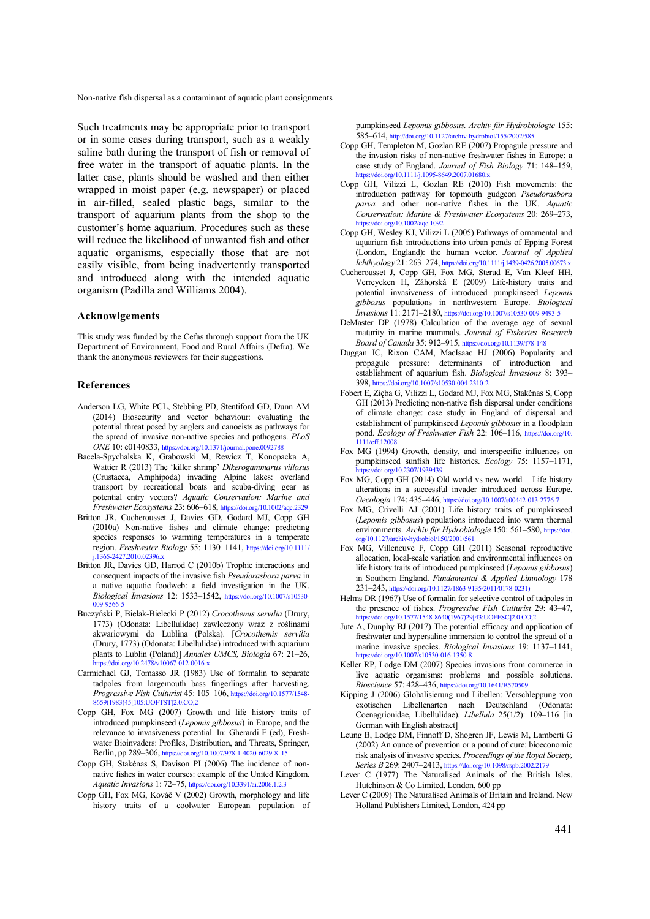Such treatments may be appropriate prior to transport or in some cases during transport, such as a weakly saline bath during the transport of fish or removal of free water in the transport of aquatic plants. In the latter case, plants should be washed and then either wrapped in moist paper (e.g. newspaper) or placed in air-filled, sealed plastic bags, similar to the transport of aquarium plants from the shop to the customer's home aquarium. Procedures such as these will reduce the likelihood of unwanted fish and other aquatic organisms, especially those that are not easily visible, from being inadvertently transported and introduced along with the intended aquatic organism (Padilla and Williams 2004).

#### **Acknowlgements**

This study was funded by the Cefas through support from the UK Department of Environment, Food and Rural Affairs (Defra). We thank the anonymous reviewers for their suggestions.

#### **References**

- Anderson LG, White PCL, Stebbing PD, Stentiford GD, Dunn AM (2014) Biosecurity and vector behaviour: evaluating the potential threat posed by anglers and canoeists as pathways for the spread of invasive non-native species and pathogens. *PLoS ONE* 10: e0140833, https://doi.org/10.1371/journal.pone.0092788
- Bacela-Spychalska K, Grabowski M, Rewicz T, Konopacka A, Wattier R (2013) The 'killer shrimp' *Dikerogammarus villosus* (Crustacea, Amphipoda) invading Alpine lakes: overland transport by recreational boats and scuba-diving gear as potential entry vectors? *Aquatic Conservation: Marine and Freshwater Ecosystems* 23: 606–618, https://doi.org/10.1002/aqc.2329
- Britton JR, Cucherousset J, Davies GD, Godard MJ, Copp GH (2010a) Non-native fishes and climate change: predicting species responses to warming temperatures in a temperate region. *Freshwater Biology* [55: 1130–1141, https://doi.org/10.1111/](https://doi.org/10.1111/j.1365-2427.2010.02396.x)  j.1365-2427.2010.02396.x
- Britton JR, Davies GD, Harrod C (2010b) Trophic interactions and consequent impacts of the invasive fish *Pseudorasbora parva* in a native aquatic foodweb: a field investigation in the UK. *Biological Invasions* 12: 1533–1542, https://doi.org/10.1007/s10530- 009-9566-5
- Buczyński P, Bielak-Bielecki P (2012) *Crocothemis servilia* (Drury, 1773) (Odonata: Libellulidae) zawleczony wraz z roślinami akwariowymi do Lublina (Polska). [*Crocothemis servilia* (Drury, 1773) (Odonata: Libellulidae) introduced with aquarium plants to Lublin (Poland)] *Annales UMCS, Biologia* 67: 21–26, https://doi.org/10.2478/v10067-012-0016-x
- Carmichael GJ, Tomasso JR (1983) Use of formalin to separate tadpoles from largemouth bass fingerlings after harvesting. *Progressive Fish Culturist* [45: 105–106, https://doi.org/10.1577/1548-](https://doi.org/10.1577/1548-8659(1983)45[105:UOFTST]2.0.CO;2) 8659(1983)45[105:UOFTST]2.0.CO;2
- Copp GH, Fox MG (2007) Growth and life history traits of introduced pumpkinseed (*Lepomis gibbosus*) in Europe, and the relevance to invasiveness potential. In: Gherardi F (ed), Freshwater Bioinvaders: Profiles, Distribution, and Threats, Springer, Berlin, pp 289–306, https://doi.org/10.1007/978-1-4020-6029-8\_15
- Copp GH, Stakėnas S, Davison PI (2006) The incidence of nonnative fishes in water courses: example of the United Kingdom. *Aquatic Invasions* 1: 72–75, https://doi.org/10.3391/ai.2006.1.2.3
- Copp GH, Fox MG, Kováč V (2002) Growth, morphology and life history traits of a coolwater European population of

pumpkinseed *Lepomis gibbosus. Archiv für Hydrobiologie* 155: 585–614, http://doi.org/10.1127/archiv-hydrobiol/155/2002/585

- Copp GH, Templeton M, Gozlan RE (2007) Propagule pressure and the invasion risks of non-native freshwater fishes in Europe: a case study of England. *Journal of Fish Biology* 71: 148–159, https://doi.org/10.1111/j.1095-8649.2007.01680.x
- Copp GH, Vilizzi L, Gozlan RE (2010) Fish movements: the introduction pathway for topmouth gudgeon *Pseudorasbora parva* and other non-native fishes in the UK. *Aquatic Conservation: Marine & Freshwater Ecosystems* 20: 269–273, https://doi.org/10.1002/aqc.1092
- Copp GH, Wesley KJ, Vilizzi L (2005) Pathways of ornamental and aquarium fish introductions into urban ponds of Epping Forest (London, England): the human vector. *Journal of Applied Ichthyology* 21: 263–274, https://doi.org/10.1111/j.1439-0426.2005.00673.x
- Cucherousset J, Copp GH, Fox MG, Sterud E, Van Kleef HH, Verreycken H, Záhorská E (2009) Life-history traits and potential invasiveness of introduced pumpkinseed *Lepomis gibbosus* populations in northwestern Europe. *Biological Invasions* 11: 2171–2180, https://doi.org/10.1007/s10530-009-9493-5
- DeMaster DP (1978) Calculation of the average age of sexual maturity in marine mammals. *Journal of Fisheries Research Board of Canada* 35: 912–915, https://doi.org/10.1139/f78-148
- Duggan IC, Rixon CAM, MacIsaac HJ (2006) Popularity and propagule pressure: determinants of introduction and establishment of aquarium fish. *Biological Invasions* 8: 393– 398, https://doi.org/10.1007/s10530-004-2310-2
- Fobert E, Zięba G, Vilizzi L, Godard MJ, Fox MG, Stakėnas S, Copp GH (2013) Predicting non-native fish dispersal under conditions of climate change: case study in England of dispersal and establishment of pumpkinseed *Lepomis gibbosus* in a floodplain pond. *Ecology of Freshwater Fish* 22: 106-116, https://doi.org/10. 1111/eff.12008
- Fox MG (1994) Growth, density, and interspecific influences on pumpkinseed sunfish life histories. *Ecology* 75: 1157–1171, https://doi.org/10.2307/1939439
- Fox MG, Copp GH  $(2014)$  Old world vs new world Life history alterations in a successful invader introduced across Europe. *Oecologia* 174: 435–446, https://doi.org/10.1007/s00442-013-2776-7
- Fox MG, Crivelli AJ (2001) Life history traits of pumpkinseed (*Lepomis gibbosus*) populations introduced into warm thermal environments. *Archiv für Hydrobiologie* 150: 561–580, https://doi. [org/10.1127/archiv-hydrobiol/150/2001/561](https://doi.org/10.1127/archiv-hydrobiol/150/2001/561)
- Fox MG, Villeneuve F, Copp GH (2011) Seasonal reproductive allocation, local-scale variation and environmental influences on life history traits of introduced pumpkinseed (*Lepomis gibbosus*) in Southern England. *Fundamental & Applied Limnology* 178 231–243, https://doi.org/10.1127/1863-9135/2011/0178-0231)
- Helms DR (1967) Use of formalin for selective control of tadpoles in the presence of fishes. *Progressive Fish Culturist* 29: 43–47, [https://doi.org/10.1577/1548-8640\(1967\)29\[43:UOFFSC\]2.0.CO;2](https://doi.org/10.1577/1548-8640(1967)29[43:UOFFSC]2.0.CO;2)
- Jute A, Dunphy BJ (2017) The potential efficacy and application of freshwater and hypersaline immersion to control the spread of a marine invasive species. *Biological Invasions* 19: 1137–1141, https://doi.org/10.1007/s10530-016-1350-8
- Keller RP, Lodge DM (2007) Species invasions from commerce in live aquatic organisms: problems and possible solutions. *Bioscience* 57: 428–436, https://doi.org/10.1641/B570509
- Kipping J (2006) Globalisierung und Libellen: Verschleppung von exotischen Libellenarten nach Deutschland (Odonata: Coenagrionidae, Libellulidae). *Libellula* 25(1/2): 109–116 [in German with English abstract]
- Leung B, Lodge DM, Finnoff D, Shogren JF, Lewis M, Lamberti G (2002) An ounce of prevention or a pound of cure: bioeconomic risk analysis of invasive species. *Proceedings of the Royal Society, Series B* 269: 2407–2413, https://doi.org/10.1098/rspb.2002.2179
- Lever C (1977) The Naturalised Animals of the British Isles. Hutchinson & Co Limited, London, 600 pp
- Lever C (2009) The Naturalised Animals of Britain and Ireland. New Holland Publishers Limited, London, 424 pp